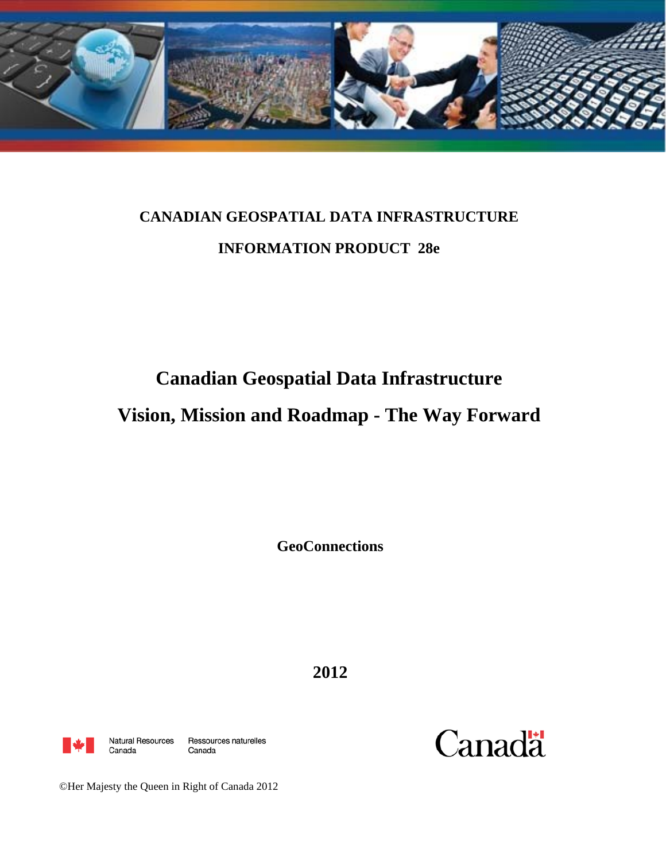

# **CANADIAN GEOSPATIAL DATA INFRASTRUCTURE INFORMATION PRODUCT 28e**

# **Canadian Geospatial Data Infrastructure**

# **Vision, Mission and Roadmap - The Way Forward**

**GeoConnections** 

**2012** 



Canada

Natural Resources Ressources naturelles Canada



©Her Majesty the Queen in Right of Canada 2012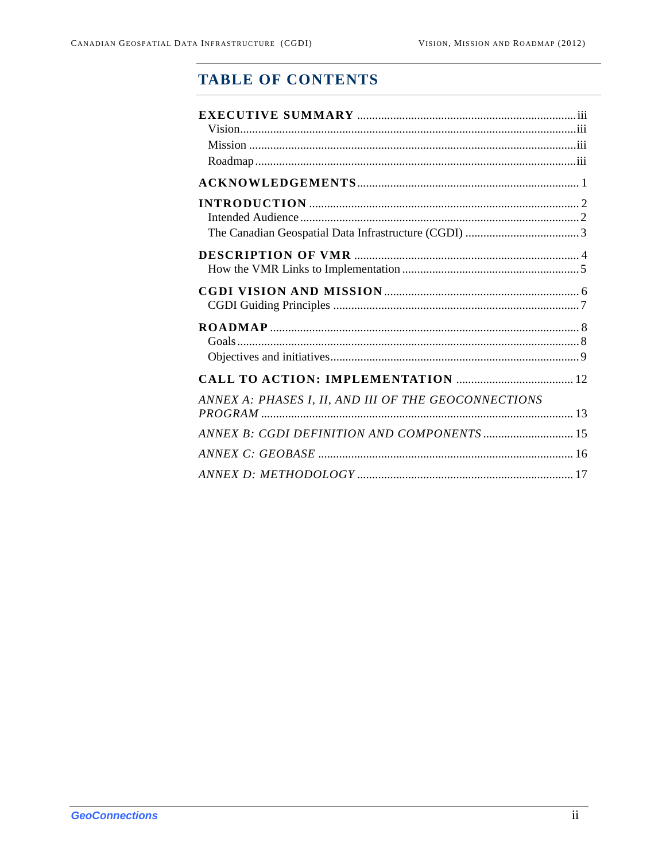# **TABLE OF CONTENTS**

| ANNEX A: PHASES I, II, AND III OF THE GEOCONNECTIONS |  |
|------------------------------------------------------|--|
|                                                      |  |
|                                                      |  |
|                                                      |  |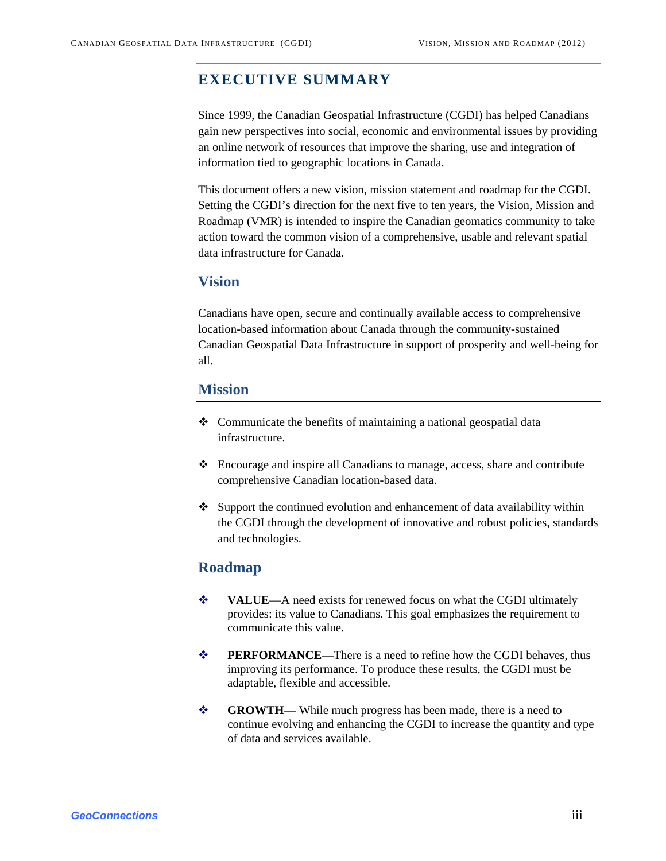# <span id="page-2-0"></span>**EXECUTIVE SUMMARY**

Since 1999, the Canadian Geospatial Infrastructure (CGDI) has helped Canadians gain new perspectives into social, economic and environmental issues by providing an online network of resources that improve the sharing, use and integration of information tied to geographic locations in Canada.

This document offers a new vision, mission statement and roadmap for the CGDI. Setting the CGDI's direction for the next five to ten years, the Vision, Mission and Roadmap (VMR) is intended to inspire the Canadian geomatics community to take action toward the common vision of a comprehensive, usable and relevant spatial data infrastructure for Canada.

### <span id="page-2-1"></span>**Vision**

Canadians have open, secure and continually available access to comprehensive location-based information about Canada through the community-sustained Canadian Geospatial Data Infrastructure in support of prosperity and well-being for all.

### <span id="page-2-2"></span>**Mission**

- Communicate the benefits of maintaining a national geospatial data infrastructure.
- Encourage and inspire all Canadians to manage, access, share and contribute comprehensive Canadian location-based data.
- Support the continued evolution and enhancement of data availability within the CGDI through the development of innovative and robust policies, standards and technologies.

### <span id="page-2-3"></span>**Roadmap**

- **◆ VALUE**—A need exists for renewed focus on what the CGDI ultimately provides: its value to Canadians. This goal emphasizes the requirement to communicate this value.
- **◆ PERFORMANCE—There is a need to refine how the CGDI behaves, thus** improving its performance. To produce these results, the CGDI must be adaptable, flexible and accessible.
- **GROWTH** While much progress has been made, there is a need to continue evolving and enhancing the CGDI to increase the quantity and type of data and services available.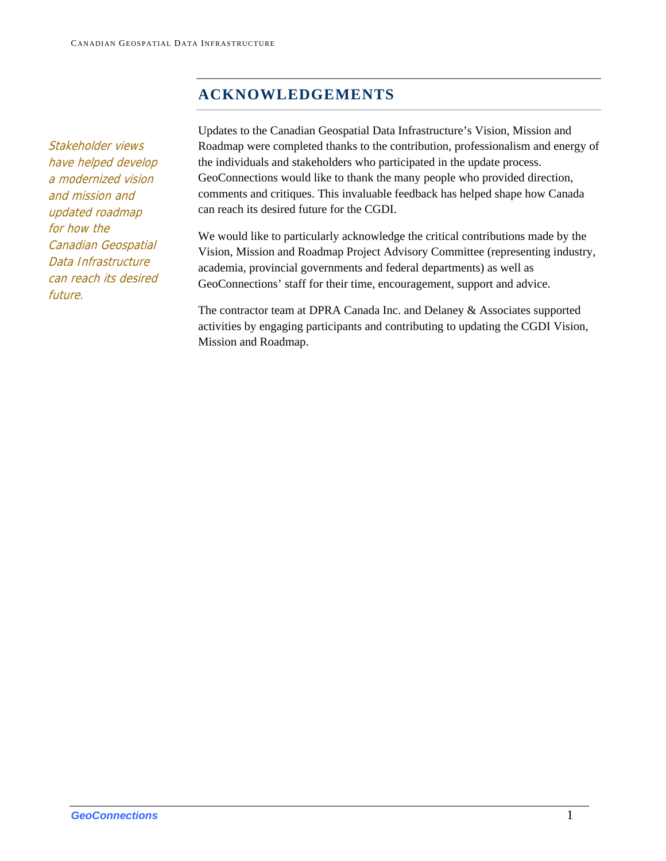# **ACKNOWLEDGEMENTS**

<span id="page-3-0"></span>Stakeholder views have helped develop a modernized vision and mission and updated roadmap for how the Canadian Geospatial Data Infrastructure can reach its desired future.

Updates to the Canadian Geospatial Data Infrastructure's Vision, Mission and Roadmap were completed thanks to the contribution, professionalism and energy of the individuals and stakeholders who participated in the update process. GeoConnections would like to thank the many people who provided direction, comments and critiques. This invaluable feedback has helped shape how Canada can reach its desired future for the CGDI.

We would like to particularly acknowledge the critical contributions made by the Vision, Mission and Roadmap Project Advisory Committee (representing industry, academia, provincial governments and federal departments) as well as GeoConnections' staff for their time, encouragement, support and advice.

The contractor team at DPRA Canada Inc. and Delaney & Associates supported activities by engaging participants and contributing to updating the CGDI Vision, Mission and Roadmap.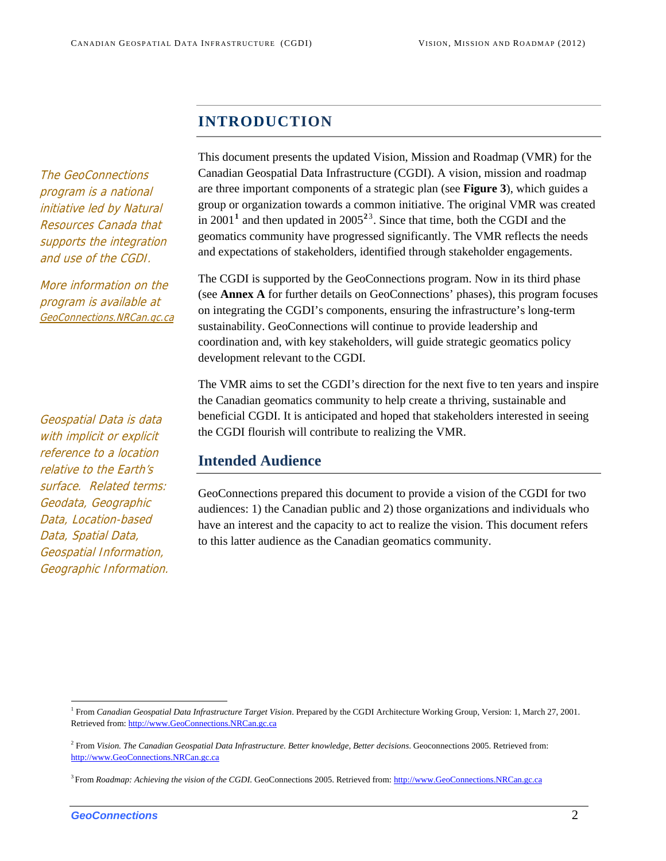# **INTRODUCTION**

<span id="page-4-0"></span>The GeoConnections program is a national initiative led by Natural Resources Canada that supports the integration and use of the CGDI.

More information on the program is available at GeoConnections.NRCan.gc.ca

<span id="page-4-1"></span>Geospatial Data is data with implicit or explicit reference to a location relative to the Earth's surface. Related terms: Geodata, Geographic Data, Location-based Data, Spatial Data, Geospatial Information, Geographic Information. This document presents the updated Vision, Mission and Roadmap (VMR) for the Canadian Geospatial Data Infrastructure (CGDI). A vision, mission and roadmap are three important components of a strategic plan (see **Figure 3**), which guides a group or organization towards a common initiative. The original VMR was created in 200[1](#page-4-2)<sup>1</sup> and then updated in  $2005^{23}$  $2005^{23}$  $2005^{23}$  $2005^{23}$ . Since that time, both the CGDI and the geomatics community have progressed significantly. The VMR reflects the needs and expectations of stakeholders, identified through stakeholder engagements.

The CGDI is supported by the GeoConnections program. Now in its third phase (see **Annex A** for further details on GeoConnections' phases), this program focuses on integrating the CGDI's components, ensuring the infrastructure's long-term sustainability. GeoConnections will continue to provide leadership and coordination and, with key stakeholders, will guide strategic geomatics policy development relevant to the CGDI.

The VMR aims to set the CGDI's direction for the next five to ten years and inspire the Canadian geomatics community to help create a thriving, sustainable and beneficial CGDI. It is anticipated and hoped that stakeholders interested in seeing the CGDI flourish will contribute to realizing the VMR.

### **Intended Audience**

GeoConnections prepared this document to provide a vision of the CGDI for two audiences: 1) the Canadian public and 2) those organizations and individuals who have an interest and the capacity to act to realize the vision. This document refers to this latter audience as the Canadian geomatics community.

<span id="page-4-2"></span><sup>1</sup> From *Canadian Geospatial Data Infrastructure Target Vision*. Prepared by the CGDI Architecture Working Group, Version: 1, March 27, 2001. Retrieved from: [http://www.GeoConnections.NRCan.gc.ca](http://www.geoconnections.nrcan.gc.ca/)

<span id="page-4-3"></span><sup>2</sup> From *Vision. The Canadian Geospatial [Da](http://www.geoconnections.nrcan.gc.ca/)ta Infrastructure. Better knowledge, Better decisions*. Geoconnections 2005. Retrieved from: [http://www.GeoConnections.NRCan.gc.ca](http://www.geoconnections.nrcan.gc.ca/)

<span id="page-4-4"></span><sup>&</sup>lt;sup>3</sup> From *Roadmap: Achieving the vision of the CGDI*. GeoConnections 2005. Retrieved from: [http://www.GeoConnections.NRCan.gc.ca](http://www.geoconnections.nrcan.gc.ca/)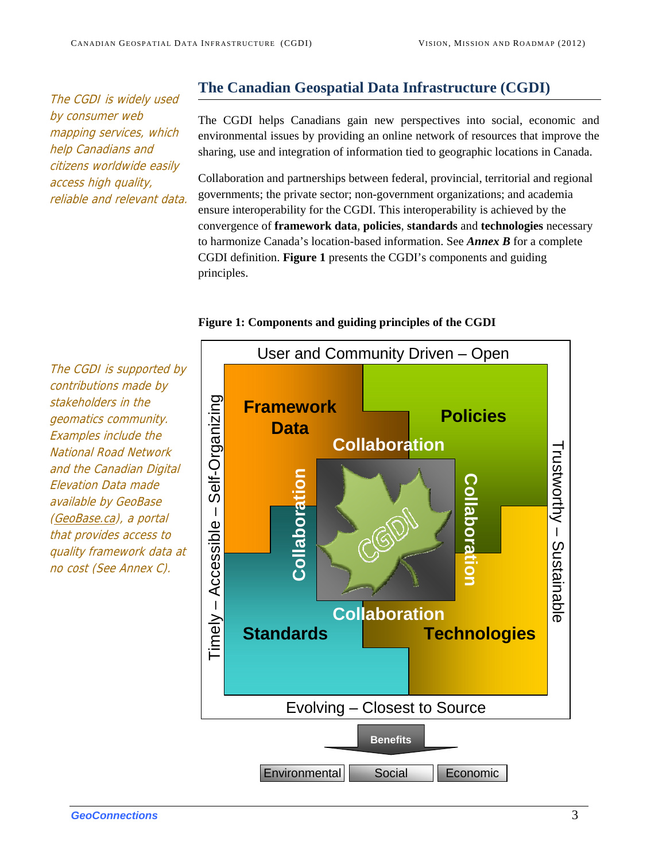<span id="page-5-0"></span>The CGDI is widely used by consumer web mapping services, which help Canadians and citizens worldwide easily access high quality, reliable and relevant data.

# **The Canadian Geospatial Data Infrastructure (CGDI)**

The CGDI helps Canadians gain new perspectives into social, economic and environmental issues by providing an online network of resources that improve the sharing, use and integration of information tied to geographic locations in Canada.

Collaboration and partnerships between federal, provincial, territorial and regional governments; the private sector; non-government organizations; and academia ensure interoperability for the CGDI. This interoperability is achieved by the convergence of **framework data**, **policies**, **standards** and **technologies** necessary to harmonize Canada's location-based information. See *Annex B* for a complete CGDI definition. **Figure 1** presents the CGDI's components and guiding principles.

## The CGDI is supported by contributions made by Self-Organizing Timely – Accessible – Self-Organizing stakeholders in the **Framework**  geomatics community. Examples include the National Road Network and the Canadian Digital **Collaboration** Elevation Data made available by GeoBase **Collabora**  $Timely - Accessible -$ (GeoBase.ca), a portal that provides access to quality framework data at no cost (See Annex C).

#### **Figure 1: Components and guiding principles of the CGDI**

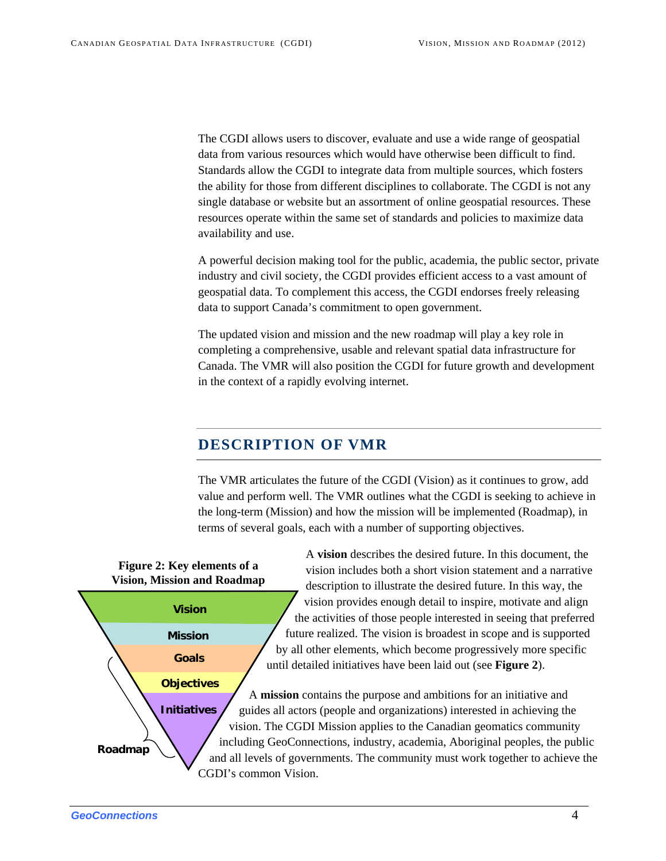The CGDI allows users to discover, evaluate and use a wide range of geospatial data from various resources which would have otherwise been difficult to find. Standards allow the CGDI to integrate data from multiple sources, which fosters the ability for those from different disciplines to collaborate. The CGDI is not any single database or website but an assortment of online geospatial resources. These resources operate within the same set of standards and policies to maximize data availability and use.

A powerful decision making tool for the public, academia, the public sector, private industry and civil society, the CGDI provides efficient access to a vast amount of geospatial data. To complement this access, the CGDI endorses freely releasing data to support Canada's commitment to open government.

The updated vision and mission and the new roadmap will play a key role in completing a comprehensive, usable and relevant spatial data infrastructure for Canada. The VMR will also position the CGDI for future growth and development in the context of a rapidly evolving internet.

# **DESCRIPTION OF VMR**

The VMR articulates the future of the CGDI (Vision) as it continues to grow, add value and perform well. The VMR outlines what the CGDI is seeking to achieve in the long-term (Mission) and how the mission will be implemented (Roadmap), in terms of several goals, each with a number of supporting objectives.

<span id="page-6-0"></span>

A **vision** describes the desired future. In this document, the vision includes both a short vision statement and a narrative description to illustrate the desired future. In this way, the vision provides enough detail to inspire, motivate and align the activities of those people interested in seeing that preferred future realized. The vision is broadest in scope and is supported by all other elements, which become progressively more specific until detailed initiatives have been laid out (see **Figure 2**).

A **mission** contains the purpose and ambitions for an initiative and guides all actors (people and organizations) interested in achieving the vision. The CGDI Mission applies to the Canadian geomatics community including GeoConnections, industry, academia, Aboriginal peoples, the public and all levels of governments. The community must work together to achieve the CGDI's common Vision.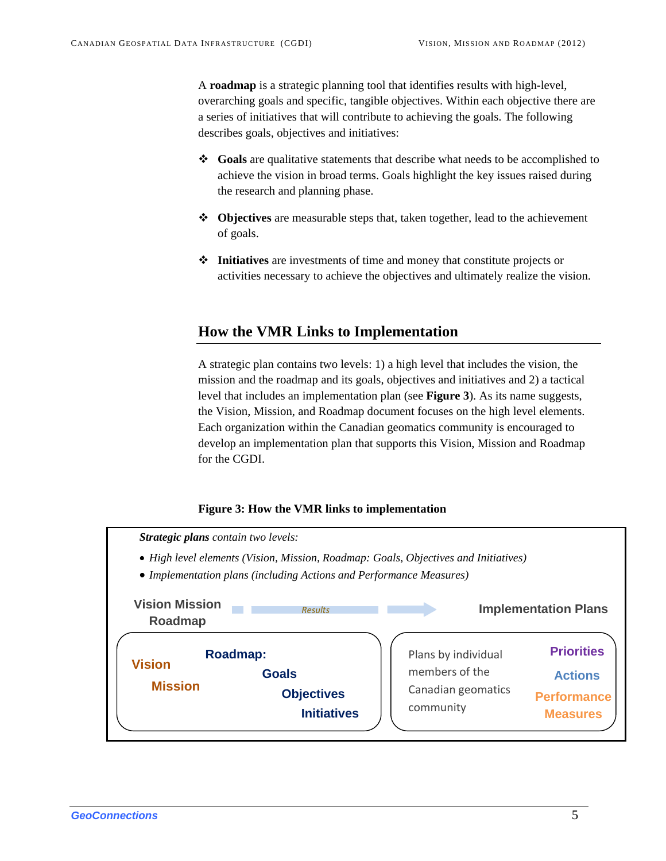A **roadmap** is a strategic planning tool that identifies results with high-level, overarching goals and specific, tangible objectives. Within each objective there are a series of initiatives that will contribute to achieving the goals. The following describes goals, objectives and initiatives:

- **Goals** are qualitative statements that describe what needs to be accomplished to achieve the vision in broad terms. Goals highlight the key issues raised during the research and planning phase.
- **Objectives** are measurable steps that, taken together, lead to the achievement of goals.
- **Initiatives** are investments of time and money that constitute projects or activities necessary to achieve the objectives and ultimately realize the vision.

## <span id="page-7-0"></span>**How the VMR Links to Implementation**

A strategic plan contains two levels: 1) a high level that includes the vision, the mission and the roadmap and its goals, objectives and initiatives and 2) a tactical level that includes an implementation plan (see **Figure 3**). As its name suggests, the Vision, Mission, and Roadmap document focuses on the high level elements. Each organization within the Canadian geomatics community is encouraged to develop an implementation plan that supports this Vision, Mission and Roadmap for the CGDI.

#### **Figure 3: How the VMR links to implementation**

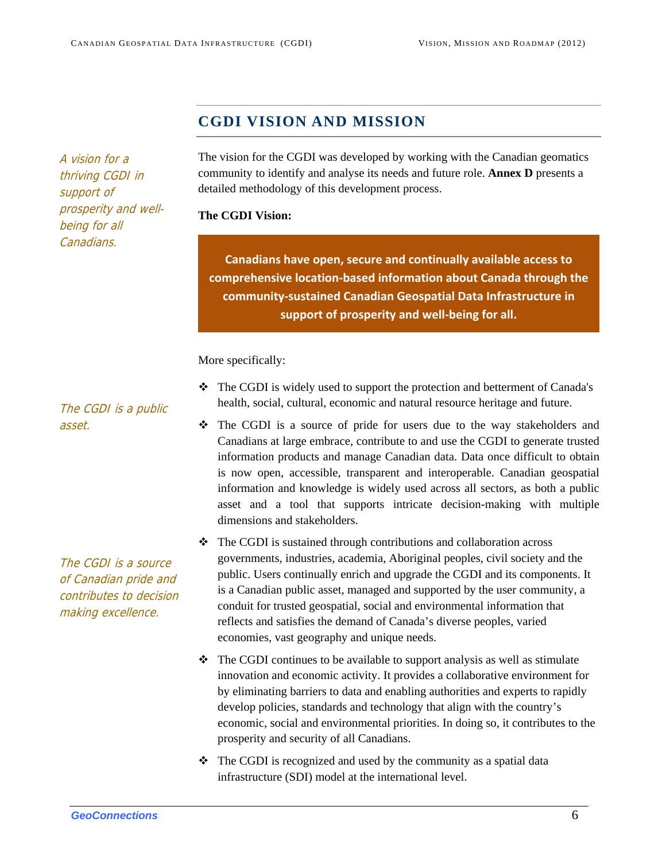# **CGDI VISION AND MISSION**

<span id="page-8-0"></span>A vision for a thriving CGDI in support of prosperity and wellbeing for all Canadians.

The vision for the CGDI was developed by working with the Canadian geomatics community to identify and analyse its needs and future role. **Annex D** presents a detailed methodology of this development process.

#### **The CGDI Vision:**

**Canadians have open, secure and continually available access to comprehensive location‐based information about Canada through the community‐sustained Canadian Geospatial Data Infrastructure in support of prosperity and well‐being for all.**

More specifically:

- The CGDI is widely used to support the protection and betterment of Canada's health, social, cultural, economic and natural resource heritage and future.
- The CGDI is a source of pride for users due to the way stakeholders and Canadians at large embrace, contribute to and use the CGDI to generate trusted information products and manage Canadian data. Data once difficult to obtain is now open, accessible, transparent and interoperable. Canadian geospatial information and knowledge is widely used across all sectors, as both a public asset and a tool that supports intricate decision-making with multiple dimensions and stakeholders.
- $\div$  The CGDI is sustained through contributions and collaboration across governments, industries, academia, Aboriginal peoples, civil society and the public. Users continually enrich and upgrade the CGDI and its components. It is a Canadian public asset, managed and supported by the user community, a conduit for trusted geospatial, social and environmental information that reflects and satisfies the demand of Canada's diverse peoples, varied economies, vast geography and unique needs.
- $\div$  The CGDI continues to be available to support analysis as well as stimulate innovation and economic activity. It provides a collaborative environment for by eliminating barriers to data and enabling authorities and experts to rapidly develop policies, standards and technology that align with the country's economic, social and environmental priorities. In doing so, it contributes to the prosperity and security of all Canadians.
- $\triangle$  The CGDI is recognized and used by the community as a spatial data infrastructure (SDI) model at the international level.

The CGDI is a public asset.

The CGDI is a source of Canadian pride and contributes to decision making excellence.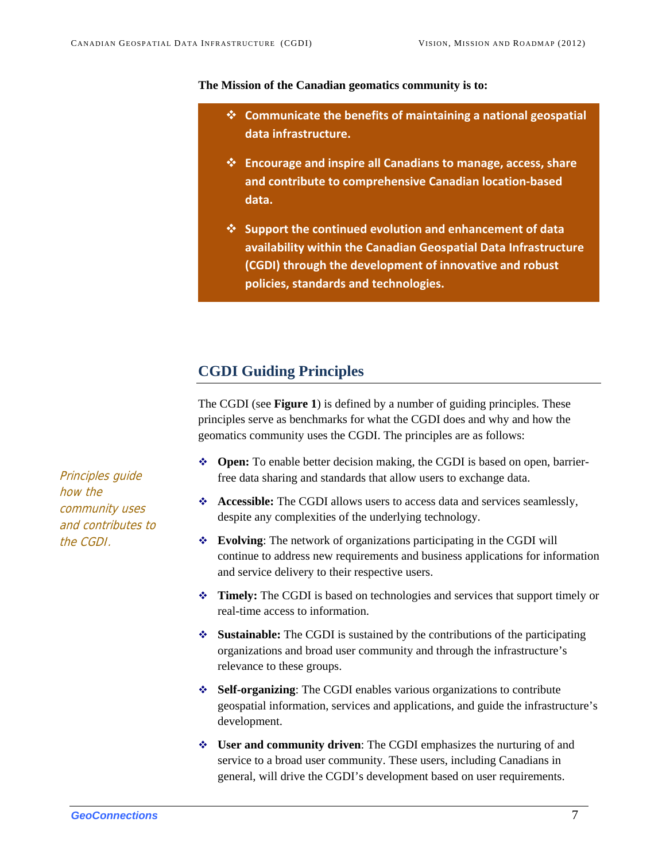#### **The Mission of the Canadian geomatics community is to:**

- **Com its of maintaining a national geospatial municate the benef data infrastructure. Communicate the benefits of maintaining a national geospatial**
	- **and ibute to comprehensive Canadian location‐based** and contribute to comprehensive Canadian location-based **contr data. Encourage and inspire all Canadians to manage, access, share**
	- **ndicies, standards and technologies. port the continued evolution and enhancement of data availability within the Canadian Geospatial Data Infrastructure ilability within the Canadian Geospatial Data Infrastructure (CGDI) through the development of innovative and robust Support the continued evolution and enhancement of data**

### **CGDI Guiding Principles**

The CGDI (see **Figure 1**) is defined by a number of guiding principles. These principles serve as benchmarks for what the CGDI does and why and how the geomatics community uses the CGDI. The principles are as follows:

- **Open:** To enable better decision making, the CGDI is based on open, barrierfree data sharing and standards that allow users to exchange data.
- **Accessible:** The CGDI allows users to access data and services seamlessly, despite any complexities of the underlying technology.
- **Evolving**: The network of organizations participating in the CGDI will continue to address new requirements and business applications for information and service delivery to their respective users.
- **Timely:** The CGDI is based on technologies and services that support timely or real-time access to information.
- **Sustainable:** The CGDI is sustained by the contributions of the participating organizations and broad user community and through the infrastructure's relevance to these groups.
- **Self-organizing**: The CGDI enables various organizations to contribute geospatial information, services and applications, and guide the infrastructure's development.
- **User and community driven**: The CGDI emphasizes the nurturing of and service to a broad user community. These users, including Canadians in general, will drive the CGDI's development based on user requirements.

<span id="page-9-0"></span>Principles guide how the community uses and contributes to the CGDI.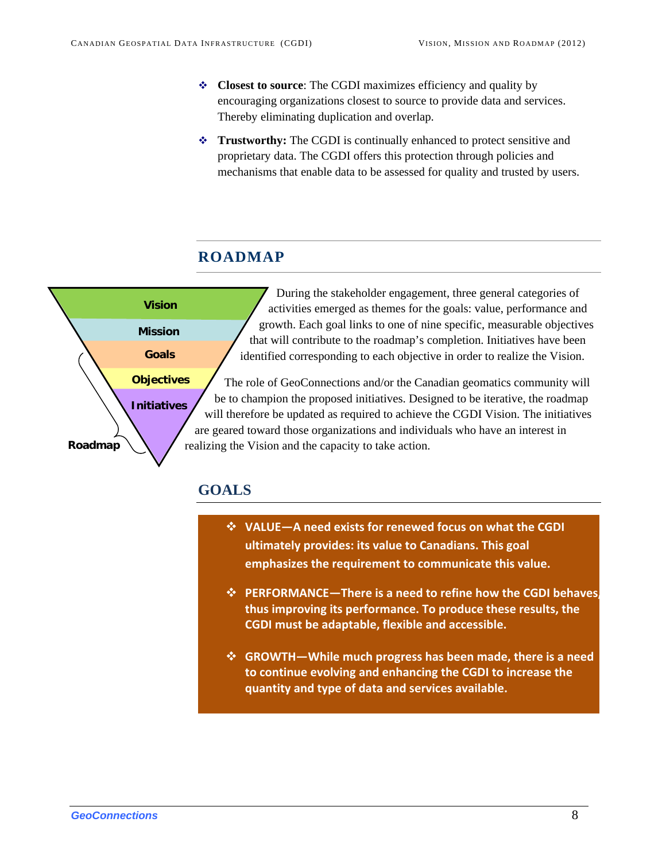- **Closest to source**: The CGDI maximizes efficiency and quality by encouraging organizations closest to source to provide data and services. Thereby eliminating duplication and overlap.
- **Trustworthy:** The CGDI is continually enhanced to protect sensitive and proprietary data. The CGDI offers this protection through policies and mechanisms that enable data to be assessed for quality and trusted by users.

# **ROADMAP**

<span id="page-10-0"></span>

# <span id="page-10-1"></span>**GOALS**

- **VALUE—A need exists for renewed focus on what the CGDI ultimately provides: its value to Canadians. This goal emphasizes the requirement to communicate this value.**
- **PERFORMANCE—There is a need to refine how the CGDI behaves, thus improving its performance. To produce these results, the CGDI must be adaptable, flexible and accessible.**
- **GROWTH—While much progress has been made, there is a need to continue evolving and enhancing the CGDI to increase the quantity and type of data and services available.**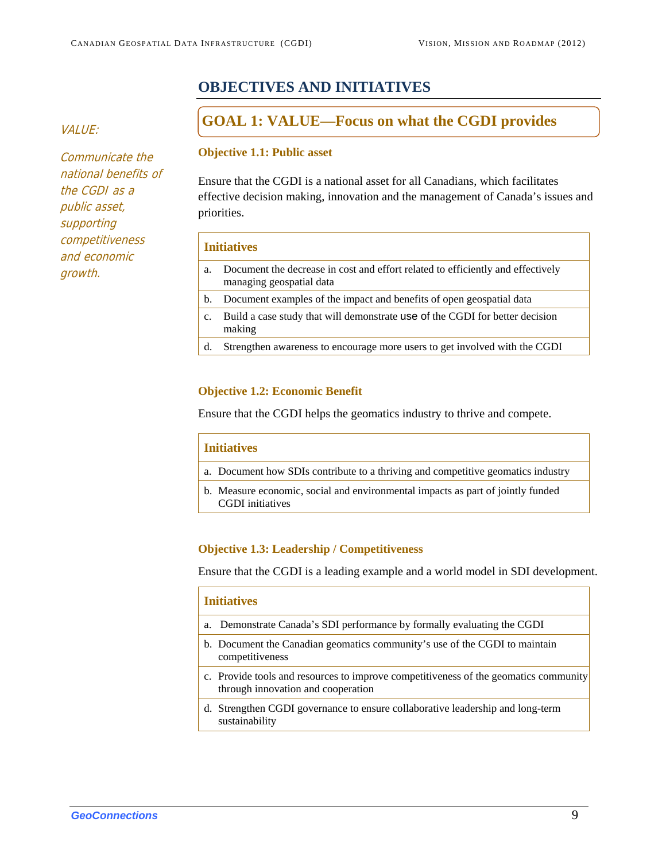# **OBJECTIVES AND INITIATIVES**

Communicate the national benefits of the CGDI as a public asset, supporting competitiveness and economic growth.

# <span id="page-11-0"></span>**GOAL 1: VALUE—Focus on what the CGDI provides**

#### **Objective 1.1: Public asset**

Ensure that the CGDI is a national asset for all Canadians, which facilitates effective decision making, innovation and the management of Canada's issues and priorities.

#### **Initiatives**

- a. Document the decrease in cost and effort related to efficiently and effectively managing geospatial data b. Document examples of the impact and benefits of open geospatial data c. Build a case study that will demonstrate use of the CGDI for better decision making
- d. Strengthen awareness to encourage more users to get involved with the CGDI

#### **Objective 1.2: Economic Benefit**

Ensure that the CGDI helps the geomatics industry to thrive and compete.

#### **Initiatives**

- a. Document how SDIs contribute to a thriving and competitive geomatics industry
- b. Measure economic, social and environmental impacts as part of jointly funded CGDI initiatives

#### **Objective 1.3: Leadership / Competitiveness**

Ensure that the CGDI is a leading example and a world model in SDI development.

# **Initiatives** a. Demonstrate Canada's SDI performance by formally evaluating the CGDI b. Document the Canadian geomatics community's use of the CGDI to maintain competitiveness c. Provide tools and resources to improve competitiveness of the geomatics community through innovation and cooperation d. Strengthen CGDI governance to ensure collaborative leadership and long-term sustainability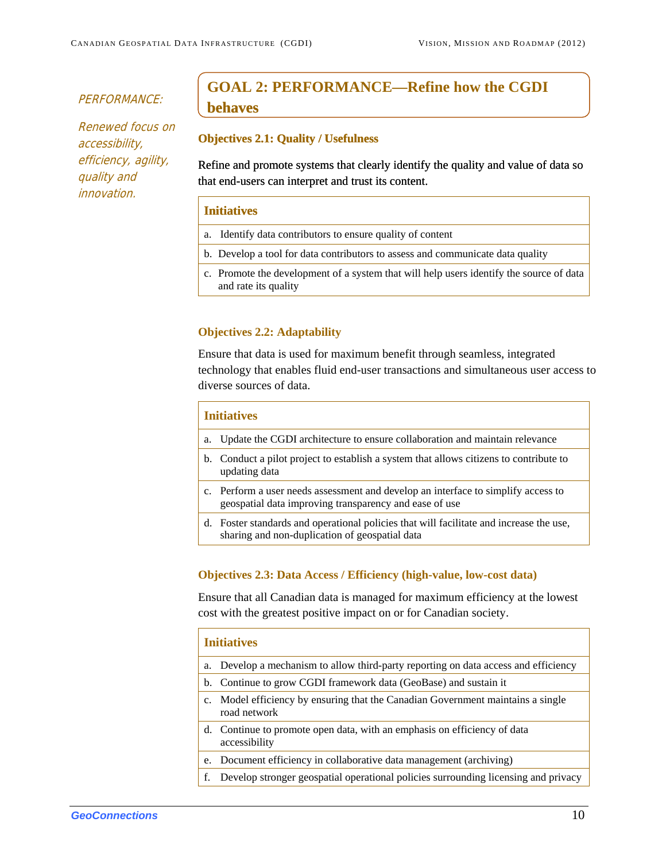#### PERFORMANCE:

Renewed focus on accessibility, efficiency, agility, quality and innovation.

# **GOAL 2: PERFORMANCE—Refine how the CGDI behaves**

#### **Objectives 2.1: Quality / Usefulness**

Refine and promote systems that clearly identify the quality and value of data so that end-users can interpret and trust its content.

#### **Initiatives**

- a. Identify data contributors to ensure quality of content
- b. Develop a tool for data contributors to assess and communicate data quality
- c. Promote the development of a system that will help users identify the source of data and rate its quality

#### **Objectives 2.2: Adaptability**

Ensure that data is used for maximum benefit through seamless, integrated technology that enables fluid end-user transactions and simultaneous user access to diverse sources of data.

### **Initiatives**

- a. Update the CGDI architecture to ensure collaboration and maintain relevance
- b. Conduct a pilot project to establish a system that allows citizens to contribute to updating data
- c. Perform a user needs assessment and develop an interface to simplify access to geospatial data improving transparency and ease of use
- d. Foster standards and operational policies that will facilitate and increase the use, sharing and non-duplication of geospatial data

#### **Objectives 2.3: Data Access / Efficiency (high-value, low-cost data)**

Ensure that all Canadian data is managed for maximum efficiency at the lowest cost with the greatest positive impact on or for Canadian society.

# **Initiatives** a. Develop a mechanism to allow third-party reporting on data access and efficiency b. Continue to grow CGDI framework data (GeoBase) and sustain it c. Model efficiency by ensuring that the Canadian Government maintains a single road network d. Continue to promote open data, with an emphasis on efficiency of data accessibility e. Document efficiency in collaborative data management (archiving) f. Develop stronger geospatial operational policies surrounding licensing and privacy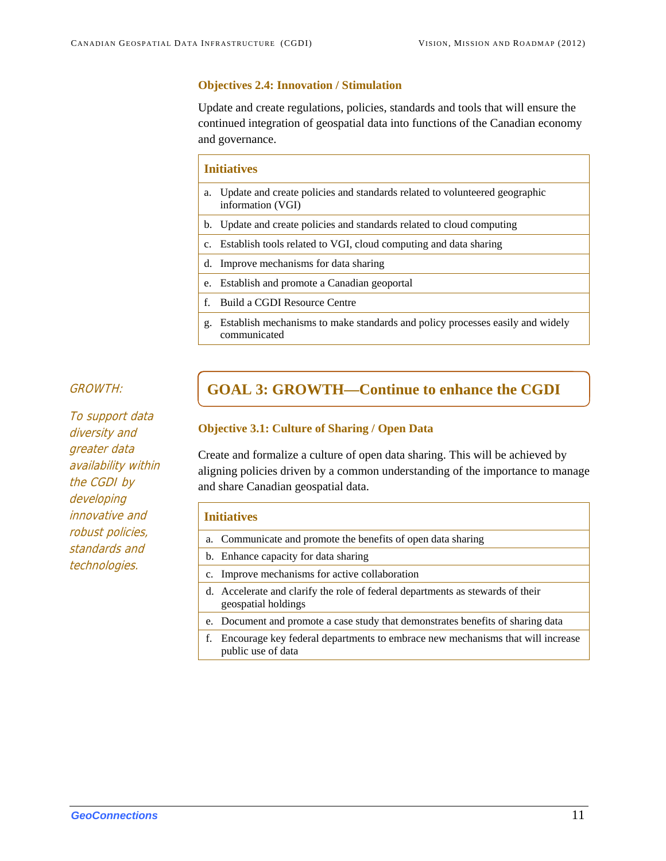#### **Objectives 2.4: Innovation / Stimulation**

Update and create regulations, policies, standards and tools that will ensure the continued integration of geospatial data into functions of the Canadian economy and governance.

#### **Initiatives**

- a. Update and create policies and standards related to volunteered geographic information (VGI)
- b. Update and create policies and standards related to cloud computing
- c. Establish tools related to VGI, cloud computing and data sharing
- d. Improve mechanisms for data sharing
- e. Establish and promote a Canadian geoportal
- f. Build a CGDI Resource Centre
- g. Establish mechanisms to make standards and policy processes easily and widely communicated

To support data diversity and greater data availability within the CGDI by developing innovative and robust policies, standards and technologies.

# GROWTH: **GOAL 3: GROWTH—Continue to enhance the CGDI**

#### **Objective 3.1: Culture of Sharing / Open Data**

Create and formalize a culture of open data sharing. This will be achieved by aligning policies driven by a common understanding of the importance to manage and share Canadian geospatial data.

#### **Initiatives**

|    | a. Communicate and promote the benefits of open data sharing                                          |
|----|-------------------------------------------------------------------------------------------------------|
|    | b. Enhance capacity for data sharing                                                                  |
|    | c. Improve mechanisms for active collaboration                                                        |
|    | d. Accelerate and clarify the role of federal departments as stewards of their<br>geospatial holdings |
|    | e. Document and promote a case study that demonstrates benefits of sharing data                       |
| f. | Encourage key federal departments to embrace new mechanisms that will increase<br>public use of data  |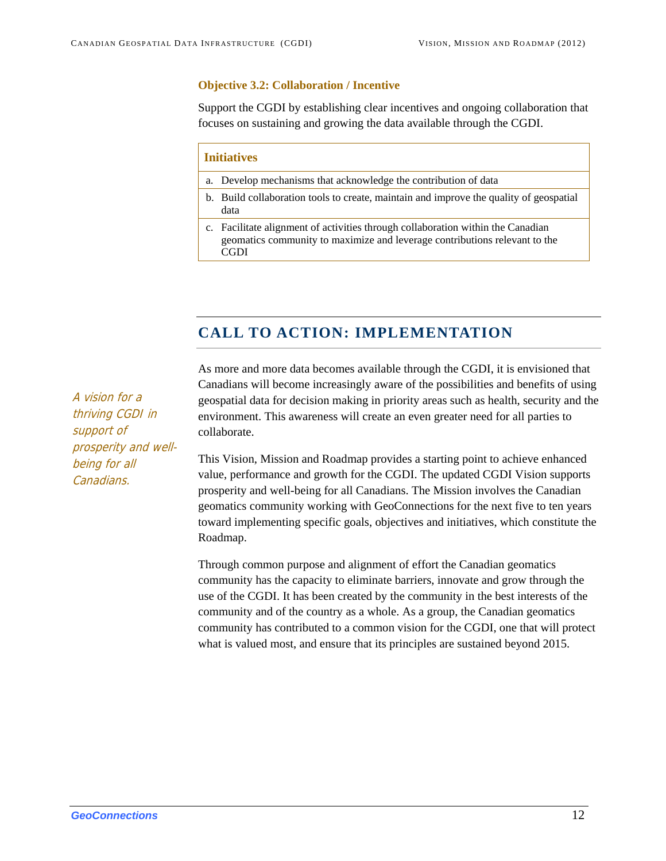#### **Objective 3.2: Collaboration / Incentive**

Support the CGDI by establishing clear incentives and ongoing collaboration that focuses on sustaining and growing the data available through the CGDI.

#### **Initiatives**

- a. Develop mechanisms that acknowledge the contribution of data
- b. Build collaboration tools to create, maintain and improve the quality of geospatial data
- c. Facilitate alignment of activities through collaboration within the Canadian geomatics community to maximize and leverage contributions relevant to the CGDI

# **CALL TO ACTION: IMPLEMENTATION**

As more and more data becomes available through the CGDI, it is envisioned that Canadians will become increasingly aware of the possibilities and benefits of using geospatial data for decision making in priority areas such as health, security and the environment. This awareness will create an even greater need for all parties to collaborate.

This Vision, Mission and Roadmap provides a starting point to achieve enhanced value, performance and growth for the CGDI. The updated CGDI Vision supports prosperity and well-being for all Canadians. The Mission involves the Canadian geomatics community working with GeoConnections for the next five to ten years toward implementing specific goals, objectives and initiatives, which constitute the Roadmap.

Through common purpose and alignment of effort the Canadian geomatics community has the capacity to eliminate barriers, innovate and grow through the use of the CGDI. It has been created by the community in the best interests of the community and of the country as a whole. As a group, the Canadian geomatics community has contributed to a common vision for the CGDI, one that will protect what is valued most, and ensure that its principles are sustained beyond 2015.

<span id="page-14-0"></span>A vision for a thriving CGDI in support of prosperity and wellbeing for all Canadians.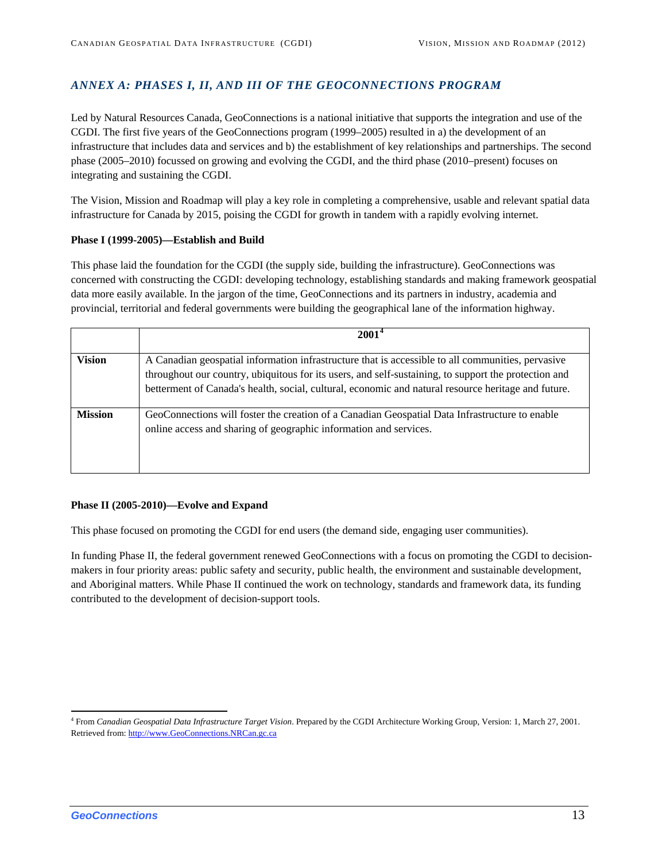#### <span id="page-15-0"></span>*ANNEX A: PHASES I, II, AND III OF THE GEOCONNECTIONS PROGRAM*

Led by Natural Resources Canada, GeoConnections is a national initiative that supports the integration and use of the CGDI. The first five years of the GeoConnections program (1999–2005) resulted in a) the development of an infrastructure that includes data and services and b) the establishment of key relationships and partnerships. The second phase (2005–2010) focussed on growing and evolving the CGDI, and the third phase (2010–present) focuses on integrating and sustaining the CGDI.

The Vision, Mission and Roadmap will play a key role in completing a comprehensive, usable and relevant spatial data infrastructure for Canada by 2015, poising the CGDI for growth in tandem with a rapidly evolving internet.

#### **Phase I (1999-2005)—Establish and Build**

This phase laid the foundation for the CGDI (the supply side, building the infrastructure). GeoConnections was concerned with constructing the CGDI: developing technology, establishing standards and making framework geospatial data more easily available. In the jargon of the time, GeoConnections and its partners in industry, academia and provincial, territorial and federal governments were building the geographical lane of the information highway.

|                | $2001^4$                                                                                                                                                                                                                                                                                                         |
|----------------|------------------------------------------------------------------------------------------------------------------------------------------------------------------------------------------------------------------------------------------------------------------------------------------------------------------|
| <b>Vision</b>  | A Canadian geospatial information infrastructure that is accessible to all communities, pervasive<br>throughout our country, ubiquitous for its users, and self-sustaining, to support the protection and<br>betterment of Canada's health, social, cultural, economic and natural resource heritage and future. |
| <b>Mission</b> | GeoConnections will foster the creation of a Canadian Geospatial Data Infrastructure to enable<br>online access and sharing of geographic information and services.                                                                                                                                              |

#### **Phase II (2005-2010)—Evolve and Expand**

This phase focused on promoting the CGDI for end users (the demand side, engaging user communities).

In funding Phase II, the federal government renewed GeoConnections with a focus on promoting the CGDI to decisionmakers in four priority areas: public safety and security, public health, the environment and sustainable development, and Aboriginal matters. While Phase II continued the work on technology, standards and framework data, its funding contributed to the development of decision-support tools.

<span id="page-15-1"></span><sup>4</sup> From *Canadian Geospatial Data Infrastructure Target V[is](http://www.geoconnections.nrcan.gc.ca/)ion*. Prepared by the CGDI Architecture Working Group, Version: 1, March 27, 2001. Retrieved from: [http://www.GeoConnections.NRCan.gc.ca](http://www.geoconnections.nrcan.gc.ca/)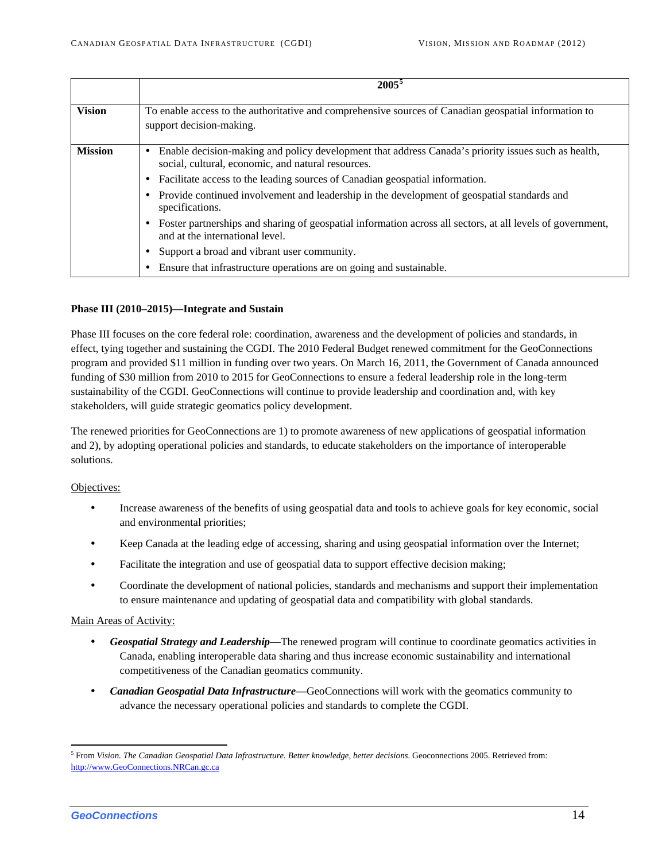|                | $2005^5$                                                                                                                                                       |
|----------------|----------------------------------------------------------------------------------------------------------------------------------------------------------------|
| <b>Vision</b>  | To enable access to the authoritative and comprehensive sources of Canadian geospatial information to<br>support decision-making.                              |
| <b>Mission</b> | Enable decision-making and policy development that address Canada's priority issues such as health,<br>٠<br>social, cultural, economic, and natural resources. |
|                | • Facilitate access to the leading sources of Canadian geospatial information.                                                                                 |
|                | • Provide continued involvement and leadership in the development of geospatial standards and<br>specifications.                                               |
|                | Foster partnerships and sharing of geospatial information across all sectors, at all levels of government,<br>٠<br>and at the international level.             |
|                | Support a broad and vibrant user community.<br>٠                                                                                                               |
|                | Ensure that infrastructure operations are on going and sustainable.<br>$\bullet$                                                                               |

#### **Phase III (2010–2015)—Integrate and Sustain**

Phase III focuses on the core federal role: coordination, awareness and the development of policies and standards, in effect, tying together and sustaining the CGDI. The 2010 Federal Budget renewed commitment for the GeoConnections program and provided \$11 million in funding over two years. On March 16, 2011, the Government of Canada announced funding of \$30 million from 2010 to 2015 for GeoConnections to ensure a federal leadership role in the long-term sustainability of the CGDI. GeoConnections will continue to provide leadership and coordination and, with key stakeholders, will guide strategic geomatics policy development.

The renewed priorities for GeoConnections are 1) to promote awareness of new applications of geospatial information and 2), by adopting operational policies and standards, to educate stakeholders on the importance of interoperable solutions.

#### Objectives:

- Increase awareness of the benefits of using geospatial data and tools to achieve goals for key economic, social and environmental priorities;
- Keep Canada at the leading edge of accessing, sharing and using geospatial information over the Internet;
- Facilitate the integration and use of geospatial data to support effective decision making;
- Coordinate the development of national policies, standards and mechanisms and support their implementation to ensure maintenance and updating of geospatial data and compatibility with global standards.

#### Main Areas of Activity:

- *Geospatial Strategy and Leadership*—The renewed program will continue to coordinate geomatics activities in Canada, enabling interoperable data sharing and thus increase economic sustainability and international competitiveness of the Canadian geomatics community.
- Canadian Geospatial Data Infrastructure—GeoConnections will work with the geomatics community to advance the necessary operational policies and standards to complete the CGDI.

<span id="page-16-0"></span><sup>5</sup> From *Vision. The Canadian Geospatial [Da](http://www.geoconnections.nrcan.gc.ca/)ta Infrastructure. Better knowledge, better decisions*. Geoconnections 2005. Retrieved from: [http://www.GeoConnections.NRCan.gc.ca](http://www.geoconnections.nrcan.gc.ca/)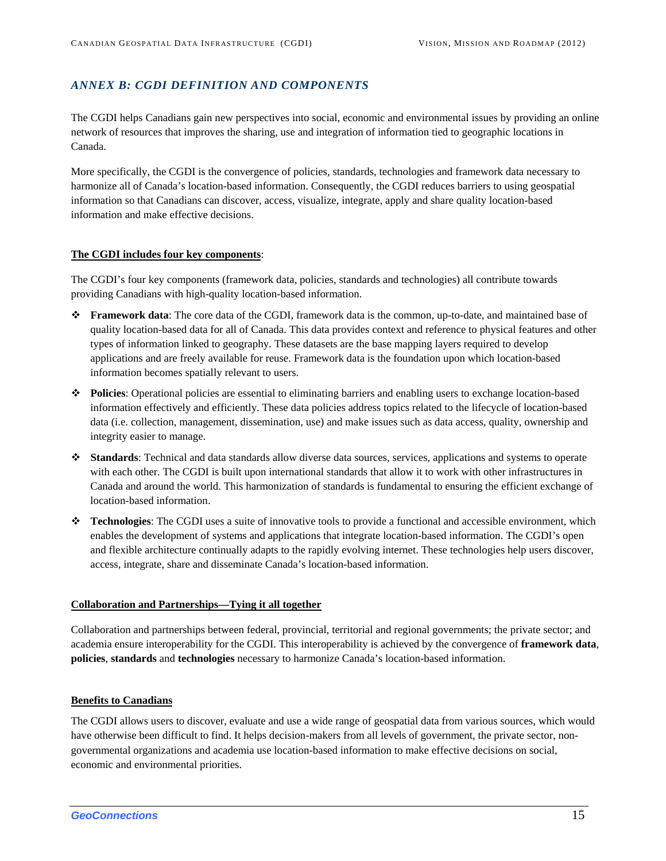#### <span id="page-17-0"></span>*ANNEX B: CGDI DEFINITION AND COMPONENTS*

The CGDI helps Canadians gain new perspectives into social, economic and environmental issues by providing an online network of resources that improves the sharing, use and integration of information tied to geographic locations in Canada.

More specifically, the CGDI is the convergence of policies, standards, technologies and framework data necessary to harmonize all of Canada's location-based information. Consequently, the CGDI reduces barriers to using geospatial information so that Canadians can discover, access, visualize, integrate, apply and share quality location-based information and make effective decisions.

#### **The CGDI includes four key components**:

The CGDI's four key components (framework data, policies, standards and technologies) all contribute towards providing Canadians with high-quality location-based information.

- **Framework data**: The core data of the CGDI, framework data is the common, up-to-date, and maintained base of quality location-based data for all of Canada. This data provides context and reference to physical features and other types of information linked to geography. These datasets are the base mapping layers required to develop applications and are freely available for reuse. Framework data is the foundation upon which location-based information becomes spatially relevant to users.
- **Policies**: Operational policies are essential to eliminating barriers and enabling users to exchange location-based information effectively and efficiently. These data policies address topics related to the lifecycle of location-based data (i.e. collection, management, dissemination, use) and make issues such as data access, quality, ownership and integrity easier to manage.
- **Standards**: Technical and data standards allow diverse data sources, services, applications and systems to operate with each other. The CGDI is built upon international standards that allow it to work with other infrastructures in Canada and around the world. This harmonization of standards is fundamental to ensuring the efficient exchange of location-based information.
- **Technologies**: The CGDI uses a suite of innovative tools to provide a functional and accessible environment, which enables the development of systems and applications that integrate location-based information. The CGDI's open and flexible architecture continually adapts to the rapidly evolving internet. These technologies help users discover, access, integrate, share and disseminate Canada's location-based information.

#### **Collaboration and Partnerships—Tying it all together**

Collaboration and partnerships between federal, provincial, territorial and regional governments; the private sector; and academia ensure interoperability for the CGDI. This interoperability is achieved by the convergence of **framework data**, **policies**, **standards** and **technologies** necessary to harmonize Canada's location-based information.

#### **Benefits to Canadians**

The CGDI allows users to discover, evaluate and use a wide range of geospatial data from various sources, which would have otherwise been difficult to find. It helps decision-makers from all levels of government, the private sector, nongovernmental organizations and academia use location-based information to make effective decisions on social, economic and environmental priorities.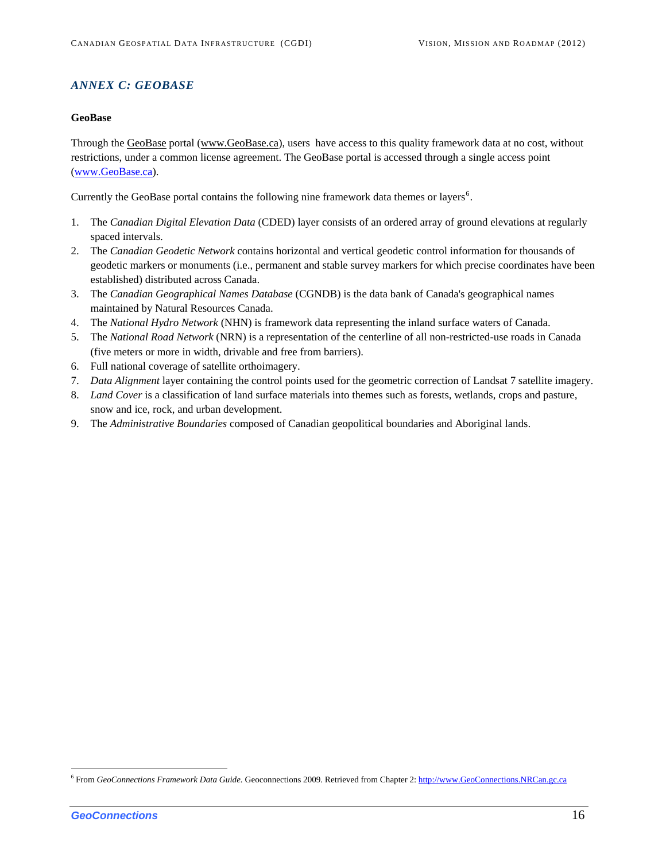#### <span id="page-18-0"></span>*ANNEX C: GEOBASE*

#### **GeoBase**

Through the GeoBase portal (www.GeoBase.ca), users have access to this quality framework data at no cost, without restrictions, under a common license agreement. The GeoBase portal is accessed through a single access point ([www.GeoBase.ca](http://www.geobase.ca/)).

Currently the GeoBase portal contains the following nine framework data themes or layers<sup>[6](#page-18-1)</sup>.

- 1. The *[Canadian Digital Elevation Data](http://www.geobase.ca/geobase/en/data/cded/index.html)* (CDED) layer consists of an ordered array of ground elevations at regularly spaced intervals.
- 2. The *[Canadian Geodetic Network](http://www.geobase.ca/geobase/en/data/geod/index.html)* contains horizontal and vertical geodetic control information for thousands of geodetic markers or monuments (i.e., permanent and stable survey markers for which precise coordinates have been established) distributed across Canada.
- 3. The *[Canadian Geographical Names Database](http://www.geobase.ca/geobase/en/data/cgn/index.html)* (CGNDB) is the data bank of Canada's geographical names maintained by Natural Resources Canada.
- 4. The *[National Hydro Network](http://www.geobase.ca/geobase/en/data/nhn/index.html)* (NHN) is framework data representing the inland surface waters of Canada.
- 5. The *[National Road Network](http://www.geobase.ca/geobase/en/data/nrn/index.html)* (NRN) is a representation of the centerline of all non-restricted-use roads in Canada (five meters or more in width, drivable and free from barriers).
- 6. Full national coverage of satellite orthoimagery.
- 7. *[Data Alignment](http://www.geobase.ca/geobase/en/data/imagery/index.html)* layer containing the control points used for the geometric correction of Landsat 7 satellite imagery.
- 8. *[Land Cover](http://www.geobase.ca/geobase/en/data/landcover/index.html)* is a classification of land surface materials into themes such as forests, wetlands, crops and pasture, snow and ice, rock, and urban development.
- 9. The *Administrative Boundaries* composed of Canadian geopolitical boundaries and Aboriginal lands.

<span id="page-18-1"></span><sup>6</sup> From *GeoConnections Framework Data Guide.* Geoconnections 2009. Retrieved from Chapter 2: [http://www.GeoConnections.NRCan.gc.ca](http://www.geoconnections.nrcan.gc.ca/)